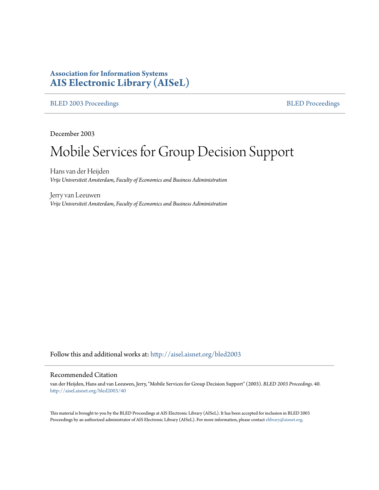# **Association for Information Systems [AIS Electronic Library \(AISeL\)](http://aisel.aisnet.org?utm_source=aisel.aisnet.org%2Fbled2003%2F40&utm_medium=PDF&utm_campaign=PDFCoverPages)**

## [BLED 2003 Proceedings](http://aisel.aisnet.org/bled2003?utm_source=aisel.aisnet.org%2Fbled2003%2F40&utm_medium=PDF&utm_campaign=PDFCoverPages) **[BLED Proceedings](http://aisel.aisnet.org/bled?utm_source=aisel.aisnet.org%2Fbled2003%2F40&utm_medium=PDF&utm_campaign=PDFCoverPages)**

December 2003

# Mobile Services for Group Decision Support

Hans van der Heijden *Vrije Universiteit Amsterdam, Faculty of Economics and Business Adiministration*

Jerry van Leeuwen *Vrije Universiteit Amsterdam, Faculty of Economics and Business Adiministration*

Follow this and additional works at: [http://aisel.aisnet.org/bled2003](http://aisel.aisnet.org/bled2003?utm_source=aisel.aisnet.org%2Fbled2003%2F40&utm_medium=PDF&utm_campaign=PDFCoverPages)

## Recommended Citation

van der Heijden, Hans and van Leeuwen, Jerry, "Mobile Services for Group Decision Support" (2003). *BLED 2003 Proceedings*. 40. [http://aisel.aisnet.org/bled2003/40](http://aisel.aisnet.org/bled2003/40?utm_source=aisel.aisnet.org%2Fbled2003%2F40&utm_medium=PDF&utm_campaign=PDFCoverPages)

This material is brought to you by the BLED Proceedings at AIS Electronic Library (AISeL). It has been accepted for inclusion in BLED 2003 Proceedings by an authorized administrator of AIS Electronic Library (AISeL). For more information, please contact [elibrary@aisnet.org](mailto:elibrary@aisnet.org%3E).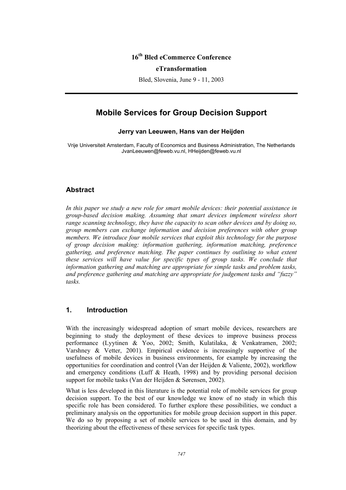# **16th Bled eCommerce Conference**

#### **eTransformation**

Bled, Slovenia, June 9 - 11, 2003

# **Mobile Services for Group Decision Support**

## **Jerry van Leeuwen, Hans van der Heijden**

Vrije Universiteit Amsterdam, Faculty of Economics and Business Administration, The Netherlands JvanLeeuwen@feweb.vu.nl, HHeijden@feweb.vu.nl

## **Abstract**

*In this paper we study a new role for smart mobile devices: their potential assistance in group-based decision making. Assuming that smart devices implement wireless short range scanning technology, they have the capacity to scan other devices and by doing so, group members can exchange information and decision preferences with other group members. We introduce four mobile services that exploit this technology for the purpose of group decision making: information gathering, information matching, preference gathering, and preference matching. The paper continues by outlining to what extent these services will have value for specific types of group tasks. We conclude that information gathering and matching are appropriate for simple tasks and problem tasks, and preference gathering and matching are appropriate for judgement tasks and "fuzzy" tasks.*

## **1. Introduction**

With the increasingly widespread adoption of smart mobile devices, researchers are beginning to study the deployment of these devices to improve business process performance (Lyytinen & Yoo, 2002; Smith, Kulatilaka, & Venkatramen, 2002; Varshney & Vetter, 2001). Empirical evidence is increasingly supportive of the usefulness of mobile devices in business environments, for example by increasing the opportunities for coordination and control (Van der Heijden & Valiente, 2002), workflow and emergency conditions (Luff  $\&$  Heath, 1998) and by providing personal decision support for mobile tasks (Van der Heijden & Sørensen, 2002).

What is less developed in this literature is the potential role of mobile services for group decision support. To the best of our knowledge we know of no study in which this specific role has been considered. To further explore these possibilities, we conduct a preliminary analysis on the opportunities for mobile group decision support in this paper. We do so by proposing a set of mobile services to be used in this domain, and by theorizing about the effectiveness of these services for specific task types.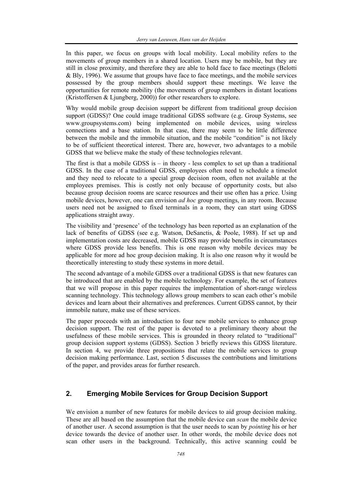In this paper, we focus on groups with local mobility. Local mobility refers to the movements of group members in a shared location. Users may be mobile, but they are still in close proximity, and therefore they are able to hold face to face meetings (Belotti & Bly, 1996). We assume that groups have face to face meetings, and the mobile services possessed by the group members should support these meetings. We leave the opportunities for remote mobility (the movements of group members in distant locations  $(Kristoffersen & Ljungberg, 2000)$  for other researchers to explore.

Why would mobile group decision support be different from traditional group decision support (GDSS)? One could image traditional GDSS software (e.g. Group Systems, see www.groupsystems.com) being implemented on mobile devices, using wireless connections and a base station. In that case, there may seem to be little difference between the mobile and the immobile situation, and the mobile "condition" is not likely to be of sufficient theoretical interest. There are, however, two advantages to a mobile GDSS that we believe make the study of these technologies relevant.

The first is that a mobile GDSS is  $-$  in theory - less complex to set up than a traditional GDSS. In the case of a traditional GDSS, employees often need to schedule a timeslot and they need to relocate to a special group decision room, often not available at the employees premises. This is costly not only because of opportunity costs, but also because group decision rooms are scarce resources and their use often has a price. Using mobile devices, however, one can envision *ad hoc* group meetings, in any room. Because users need not be assigned to fixed terminals in a room, they can start using GDSS applications straight away.

The visibility and 'presence' of the technology has been reported as an explanation of the lack of benefits of GDSS (see e.g. Watson, DeSanctis, & Poole, 1988). If set up and implementation costs are decreased, mobile GDSS may provide benefits in circumstances where GDSS provide less benefits. This is one reason why mobile devices may be applicable for more ad hoc group decision making. It is also one reason why it would be theoretically interesting to study these systems in more detail.

The second advantage of a mobile GDSS over a traditional GDSS is that new features can be introduced that are enabled by the mobile technology. For example, the set of features that we will propose in this paper requires the implementation of short-range wireless scanning technology. This technology allows group members to scan each other's mobile devices and learn about their alternatives and preferences. Current GDSS cannot, by their immobile nature, make use of these services.

The paper proceeds with an introduction to four new mobile services to enhance group decision support. The rest of the paper is devoted to a preliminary theory about the usefulness of these mobile services. This is grounded in theory related to "traditional" group decision support systems (GDSS). Section 3 briefly reviews this GDSS literature. In section 4, we provide three propositions that relate the mobile services to group decision making performance. Last, section 5 discusses the contributions and limitations of the paper, and provides areas for further research.

## **2. Emerging Mobile Services for Group Decision Support**

We envision a number of new features for mobile devices to aid group decision making. These are all based on the assumption that the mobile device can *scan* the mobile device of another user. A second assumption is that the user needs to scan by *pointing* his or her device towards the device of another user. In other words, the mobile device does not scan other users in the background. Technically, this active scanning could be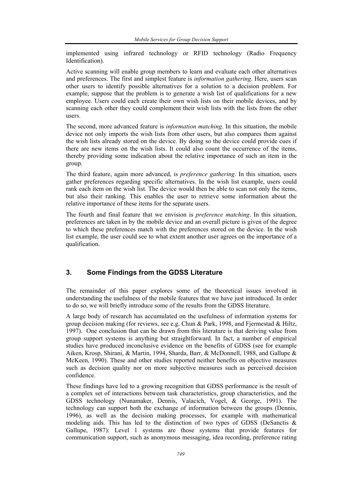implemented using infrared technology or RFID technology (Radio Frequency Identification).

Active scanning will enable group members to learn and evaluate each other alternatives and preferences. The first and simplest feature is *information gathering*. Here, users scan other users to identify possible alternatives for a solution to a decision problem. For example, suppose that the problem is to generate a wish list of qualifications for a new employee. Users could each create their own wish lists on their mobile devices, and by scanning each other they could complement their wish lists with the lists from the other users.

The second, more advanced feature is *information matching*. In this situation, the mobile device not only imports the wish lists from other users, but also compares them against the wish lists already stored on the device. By doing so the device could provide cues if there are new items on the wish lists. It could also count the occurrence of the items, thereby providing some indication about the relative importance of such an item in the group.

The third feature, again more advanced, is *preference gathering*. In this situation, users gather preferences regarding specific alternatives. In the wish list example, users could rank each item on the wish list. The device would then be able to scan not only the items, but also their ranking. This enables the user to retrieve some information about the relative importance of these items for the separate users.

The fourth and final feature that we envision is *preference matching*. In this situation, preferences are taken in by the mobile device and an overall picture is given of the degree to which these preferences match with the preferences stored on the device. In the wish list example, the user could see to what extent another user agrees on the importance of a qualification.

# **3. Some Findings from the GDSS Literature**

The remainder of this paper explores some of the theoretical issues involved in understanding the usefulness of the mobile features that we have just introduced. In order to do so, we will briefly introduce some of the results from the GDSS literature.

A large body of research has accumulated on the usefulness of information systems for group decision making (for reviews, see e.g. Chun & Park, 1998, and Fiermestad & Hiltz, 1997). One conclusion that can be drawn from this literature is that deriving value from group support systems is anything but straightforward. In fact, a number of empirical studies have produced inconclusive evidence on the benefits of GDSS (see for example Aiken, Krosp, Shirani, & Martin, 1994, Sharda, Barr, & McDonnell, 1988, and Gallupe & McKeen, 1990). These and other studies reported neither benefits on objective measures such as decision quality nor on more subjective measures such as perceived decision confidence.

These findings have led to a growing recognition that GDSS performance is the result of a complex set of interactions between task characteristics, group characteristics, and the GDSS technology (Nunamaker, Dennis, Valacich, Vogel, & George, 1991). The technology can support both the exchange of information between the groups (Dennis, 1996), as well as the decision making processes, for example with mathematical modeling aids. This has led to the distinction of two types of GDSS (DeSanctis  $\&$ Gallupe, 1987): Level 1 systems are those systems that provide features for communication support, such as anonymous messaging, idea recording, preference rating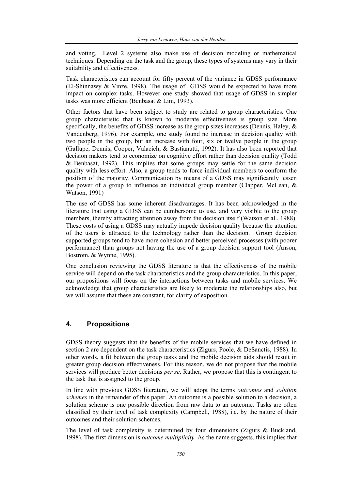and voting. Level 2 systems also make use of decision modeling or mathematical techniques. Depending on the task and the group, these types of systems may vary in their suitability and effectiveness.

Task characteristics can account for fifty percent of the variance in GDSS performance (El-Shinnawy & Vinze, 1998). The usage of GDSS would be expected to have more impact on complex tasks. However one study showed that usage of GDSS in simpler tasks was more efficient (Benbasat & Lim, 1993).

Other factors that have been subject to study are related to group characteristics. One group characteristic that is known to moderate effectiveness is group size. More specifically, the benefits of GDSS increase as the group sizes increases (Dennis, Haley,  $\&$ Vandenberg, 1996). For example, one study found no increase in decision quality with two people in the group, but an increase with four, six or twelve people in the group (Gallupe, Dennis, Cooper, Valacich, & Bastianutti, 1992). It has also been reported that decision makers tend to economize on cognitive effort rather than decision quality (Todd & Benbasat, 1992). This implies that some groups may settle for the same decision quality with less effort. Also, a group tends to force individual members to conform the position of the majority. Communication by means of a GDSS may significantly lessen the power of a group to influence an individual group member (Clapper, McLean, & Watson, 1991)

The use of GDSS has some inherent disadvantages. It has been acknowledged in the literature that using a GDSS can be cumbersome to use, and very visible to the group members, thereby attracting attention away from the decision itself (Watson et al., 1988). These costs of using a GDSS may actually impede decision quality because the attention of the users is attracted to the technology rather than the decision. Group decision supported groups tend to have more cohesion and better perceived processes (with poorer performance) than groups not having the use of a group decision support tool (Anson, Bostrom, & Wynne, 1995).

One conclusion reviewing the GDSS literature is that the effectiveness of the mobile service will depend on the task characteristics and the group characteristics. In this paper, our propositions will focus on the interactions between tasks and mobile services. We acknowledge that group characteristics are likely to moderate the relationships also, but we will assume that these are constant, for clarity of exposition.

## **4. Propositions**

GDSS theory suggests that the benefits of the mobile services that we have defined in section 2 are dependent on the task characteristics (Zigurs, Poole, & DeSanctis, 1988). In other words, a fit between the group tasks and the mobile decision aids should result in greater group decision effectiveness. For this reason, we do not propose that the mobile services will produce better decisions *per se*. Rather, we propose that this is contingent to the task that is assigned to the group.

In line with previous GDSS literature, we will adopt the terms *outcomes* and *solution schemes* in the remainder of this paper. An outcome is a possible solution to a decision, a solution scheme is one possible direction from raw data to an outcome. Tasks are often classified by their level of task complexity (Campbell, 1988), i.e. by the nature of their outcomes and their solution schemes.

The level of task complexity is determined by four dimensions (Zigurs & Buckland, 1998). The first dimension is *outcome multiplicity*. As the name suggests, this implies that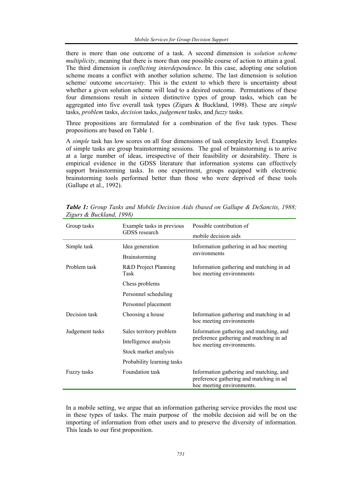there is more than one outcome of a task. A second dimension is *solution scheme multiplicity*, meaning that there is more than one possible course of action to attain a goal. The third dimension is *conflicting interdependence*. In this case, adopting one solution scheme means a conflict with another solution scheme. The last dimension is solution scheme/ outcome *uncertainty*. This is the extent to which there is uncertainty about whether a given solution scheme will lead to a desired outcome. Permutations of these four dimensions result in sixteen distinctive types of group tasks, which can be aggregated into five overall task types (Zigurs & Buckland, 1998). These are *simple* tasks, *problem* tasks, *decision* tasks, *judgement* tasks, and *fuzzy* tasks.

Three propositions are formulated for a combination of the five task types. These propositions are based on Table 1.

A *simple* task has low scores on all four dimensions of task complexity level. Examples of simple tasks are group brainstorming sessions. The goal of brainstorming is to arrive at a large number of ideas, irrespective of their feasibility or desirability. There is empirical evidence in the GDSS literature that information systems can effectively support brainstorming tasks. In one experiment, groups equipped with electronic brainstorming tools performed better than those who were deprived of these tools (Gallupe et al., 1992).

| Group tasks     | Example tasks in previous<br>GDSS research | Possible contribution of<br>mobile decision aids                                                                |
|-----------------|--------------------------------------------|-----------------------------------------------------------------------------------------------------------------|
| Simple task     | Idea generation<br><b>Brainstorming</b>    | Information gathering in ad hoc meeting<br>environments                                                         |
| Problem task    | R&D Project Planning<br>Task               | Information gathering and matching in ad<br>hoc meeting environments                                            |
|                 | Chess problems                             |                                                                                                                 |
|                 | Personnel scheduling                       |                                                                                                                 |
|                 | Personnel placement                        |                                                                                                                 |
| Decision task   | Choosing a house                           | Information gathering and matching in ad<br>hoc meeting environments                                            |
| Judgement tasks | Sales territory problem                    | Information gathering and matching, and<br>preference gathering and matching in ad<br>hoc meeting environments. |
|                 | Intelligence analysis                      |                                                                                                                 |
|                 | Stock market analysis                      |                                                                                                                 |
|                 | Probability learning tasks                 |                                                                                                                 |
| Fuzzy tasks     | Foundation task                            | Information gathering and matching, and<br>preference gathering and matching in ad<br>hoc meeting environments. |

*Table 1: Group Tasks and Mobile Decision Aids (based on Gallupe & DeSanctis, 1988; Zigurs & Buckland, 1998)* 

In a mobile setting, we argue that an information gathering service provides the most use in these types of tasks. The main purpose of the mobile decision aid will be on the importing of information from other users and to preserve the diversity of information. This leads to our first proposition.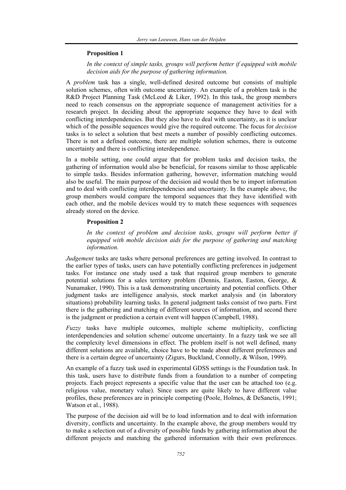#### **Proposition 1**

*In the context of simple tasks, groups will perform better if equipped with mobile decision aids for the purpose of gathering information.* 

A *problem* task has a single, well-defined desired outcome but consists of multiple solution schemes, often with outcome uncertainty. An example of a problem task is the R&D Project Planning Task (McLeod & Liker, 1992). In this task, the group members need to reach consensus on the appropriate sequence of management activities for a research project. In deciding about the appropriate sequence they have to deal with conflicting interdependencies. But they also have to deal with uncertainty, as it is unclear which of the possible sequences would give the required outcome. The focus for *decision* tasks is to select a solution that best meets a number of possibly conflicting outcomes. There is not a defined outcome, there are multiple solution schemes, there is outcome uncertainty and there is conflicting interdependence.

In a mobile setting, one could argue that for problem tasks and decision tasks, the gathering of information would also be beneficial, for reasons similar to those applicable to simple tasks. Besides information gathering, however, information matching would also be useful. The main purpose of the decision aid would then be to import information and to deal with conflicting interdependencies and uncertainty. In the example above, the group members would compare the temporal sequences that they have identified with each other, and the mobile devices would try to match these sequences with sequences already stored on the device.

#### **Proposition 2**

In the context of problem and decision tasks, groups will perform better if *equipped with mobile decision aids for the purpose of gathering and matching information.* 

*Judgement* tasks are tasks where personal preferences are getting involved. In contrast to the earlier types of tasks, users can have potentially conflicting preferences in judgement tasks. For instance one study used a task that required group members to generate potential solutions for a sales territory problem (Dennis, Easton, Easton, George, & Nunamaker, 1990). This is a task demonstrating uncertainty and potential conflicts. Other judgment tasks are intelligence analysis, stock market analysis and (in laboratory situations) probability learning tasks. In general judgment tasks consist of two parts. First there is the gathering and matching of different sources of information, and second there is the judgment or prediction a certain event will happen (Campbell, 1988).

*Fuzzy* tasks have multiple outcomes, multiple scheme multiplicity, conflicting interdependencies and solution scheme/ outcome uncertainty. In a fuzzy task we see all the complexity level dimensions in effect. The problem itself is not well defined, many different solutions are available, choice have to be made about different preferences and there is a certain degree of uncertainty (Zigurs, Buckland, Connolly, & Wilson, 1999).

An example of a fuzzy task used in experimental GDSS settings is the Foundation task. In this task, users have to distribute funds from a foundation to a number of competing projects. Each project represents a specific value that the user can be attached too (e.g. religious value, monetary value). Since users are quite likely to have different value profiles, these preferences are in principle competing (Poole, Holmes, & DeSanctis, 1991; Watson et al., 1988).

The purpose of the decision aid will be to load information and to deal with information diversity, conflicts and uncertainty. In the example above, the group members would try to make a selection out of a diversity of possible funds by gathering information about the different projects and matching the gathered information with their own preferences.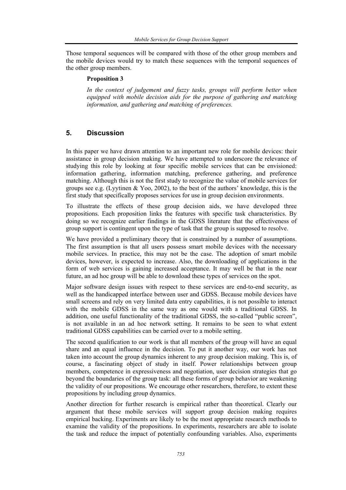Those temporal sequences will be compared with those of the other group members and the mobile devices would try to match these sequences with the temporal sequences of the other group members.

#### **Proposition 3**

*In the context of judgement and fuzzy tasks, groups will perform better when equipped with mobile decision aids for the purpose of gathering and matching information, and gathering and matching of preferences.* 

## **5. Discussion**

In this paper we have drawn attention to an important new role for mobile devices: their assistance in group decision making. We have attempted to underscore the relevance of studying this role by looking at four specific mobile services that can be envisioned: information gathering, information matching, preference gathering, and preference matching. Although this is not the first study to recognize the value of mobile services for groups see e.g. (Lyytinen  $\& Y$ oo, 2002), to the best of the authors' knowledge, this is the first study that specifically proposes services for use in group decision environments.

To illustrate the effects of these group decision aids, we have developed three propositions. Each proposition links the features with specific task characteristics. By doing so we recognize earlier findings in the GDSS literature that the effectiveness of group support is contingent upon the type of task that the group is supposed to resolve.

We have provided a preliminary theory that is constrained by a number of assumptions. The first assumption is that all users possess smart mobile devices with the necessary mobile services. In practice, this may not be the case. The adoption of smart mobile devices, however, is expected to increase. Also, the downloading of applications in the form of web services is gaining increased acceptance. It may well be that in the near future, an ad hoc group will be able to download these types of services on the spot.

Major software design issues with respect to these services are end-to-end security, as well as the handicapped interface between user and GDSS. Because mobile devices have small screens and rely on very limited data entry capabilities, it is not possible to interact with the mobile GDSS in the same way as one would with a traditional GDSS. In addition, one useful functionality of the traditional GDSS, the so-called "public screen", is not available in an ad hoc network setting. It remains to be seen to what extent traditional GDSS capabilities can be carried over to a mobile setting.

The second qualification to our work is that all members of the group will have an equal share and an equal influence in the decision. To put it another way, our work has not taken into account the group dynamics inherent to any group decision making. This is, of course, a fascinating object of study in itself. Power relationships between group members, competence in expressiveness and negotiation, user decision strategies that go beyond the boundaries of the group task: all these forms of group behavior are weakening the validity of our propositions. We encourage other researchers, therefore, to extent these propositions by including group dynamics.

Another direction for further research is empirical rather than theoretical. Clearly our argument that these mobile services will support group decision making requires empirical backing. Experiments are likely to be the most appropriate research methods to examine the validity of the propositions. In experiments, researchers are able to isolate the task and reduce the impact of potentially confounding variables. Also, experiments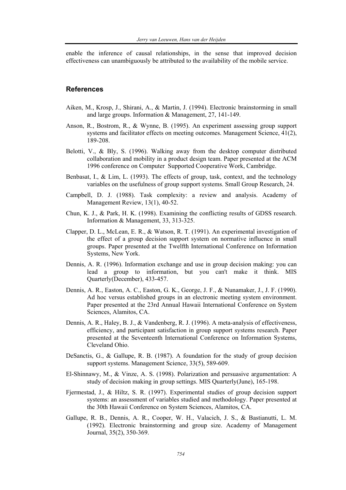enable the inference of causal relationships, in the sense that improved decision effectiveness can unambiguously be attributed to the availability of the mobile service.

## **References**

- Aiken, M., Krosp, J., Shirani, A., & Martin, J. (1994). Electronic brainstorming in small and large groups. Information & Management, 27, 141-149.
- Anson, R., Bostrom, R., & Wynne, B. (1995). An experiment assessing group support systems and facilitator effects on meeting outcomes. Management Science, 41(2), 189-208.
- Belotti, V., & Bly, S. (1996). Walking away from the desktop computer distributed collaboration and mobility in a product design team. Paper presented at the ACM 1996 conference on Computer Supported Cooperative Work, Cambridge.
- Benbasat, I., & Lim, L. (1993). The effects of group, task, context, and the technology variables on the usefulness of group support systems. Small Group Research, 24.
- Campbell, D. J. (1988). Task complexity: a review and analysis. Academy of Management Review, 13(1), 40-52.
- Chun, K. J., & Park, H. K. (1998). Examining the conflicting results of GDSS research. Information & Management, 33, 313-325.
- Clapper, D. L., McLean, E. R., & Watson, R. T. (1991). An experimental investigation of the effect of a group decision support system on normative influence in small groups. Paper presented at the Twelfth International Conference on Information Systems, New York.
- Dennis, A. R. (1996). Information exchange and use in group decision making: you can lead a group to information, but you can't make it think. MIS Quarterly(December), 433-457.
- Dennis, A. R., Easton, A. C., Easton, G. K., George, J. F., & Nunamaker, J., J. F. (1990). Ad hoc versus established groups in an electronic meeting system environment. Paper presented at the 23rd Annual Hawaii International Conference on System Sciences, Alamitos, CA.
- Dennis, A. R., Haley, B. J., & Vandenberg, R. J. (1996). A meta-analysis of effectiveness, efficiency, and participant satisfaction in group support systems research. Paper presented at the Seventeenth International Conference on Information Systems, Cleveland Ohio.
- DeSanctis, G., & Gallupe, R. B. (1987). A foundation for the study of group decision support systems. Management Science, 33(5), 589-609.
- El-Shinnawy, M., & Vinze, A. S. (1998). Polarization and persuasive argumentation: A study of decision making in group settings. MIS Quarterly(June), 165-198.
- Fjermestad, J., & Hiltz, S. R. (1997). Experimental studies of group decision support systems: an assessment of variables studied and methodology. Paper presented at the 30th Hawaii Conference on System Sciences, Alamitos, CA.
- Gallupe, R. B., Dennis, A. R., Cooper, W. H., Valacich, J. S., & Bastianutti, L. M. (1992). Electronic brainstorming and group size. Academy of Management Journal, 35(2), 350-369.